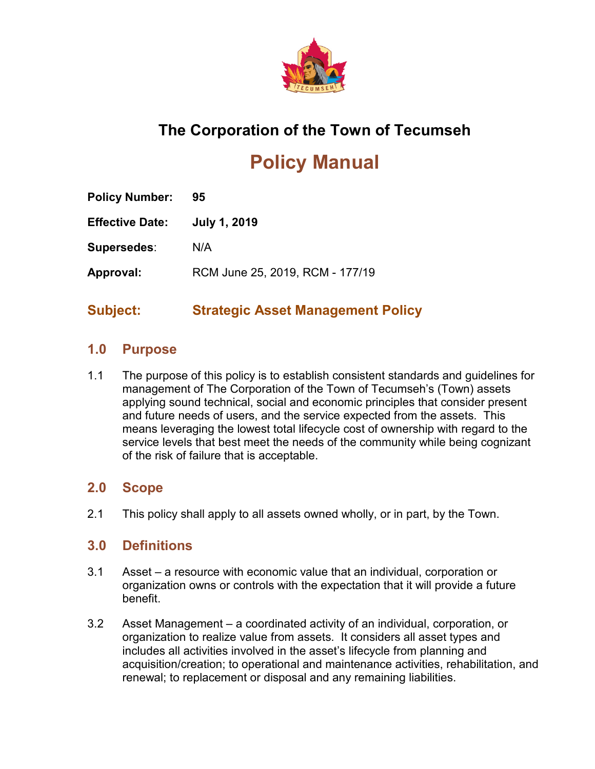

# **The Corporation of the Town of Tecumseh**

# **Policy Manual**

| <b>Policy Number:</b> | 95                              |
|-----------------------|---------------------------------|
| Effective Date:       | <b>July 1, 2019</b>             |
| Supersedes:           | N/A                             |
| Approval:             | RCM June 25, 2019, RCM - 177/19 |
|                       |                                 |

# **Subject: Strategic Asset Management Policy**

# **1.0 Purpose**

1.1 The purpose of this policy is to establish consistent standards and guidelines for management of The Corporation of the Town of Tecumseh's (Town) assets applying sound technical, social and economic principles that consider present and future needs of users, and the service expected from the assets. This means leveraging the lowest total lifecycle cost of ownership with regard to the service levels that best meet the needs of the community while being cognizant of the risk of failure that is acceptable.

## **2.0 Scope**

2.1 This policy shall apply to all assets owned wholly, or in part, by the Town.

# **3.0 Definitions**

- 3.1 Asset a resource with economic value that an individual, corporation or organization owns or controls with the expectation that it will provide a future benefit.
- 3.2 Asset Management a coordinated activity of an individual, corporation, or organization to realize value from assets. It considers all asset types and includes all activities involved in the asset's lifecycle from planning and acquisition/creation; to operational and maintenance activities, rehabilitation, and renewal; to replacement or disposal and any remaining liabilities.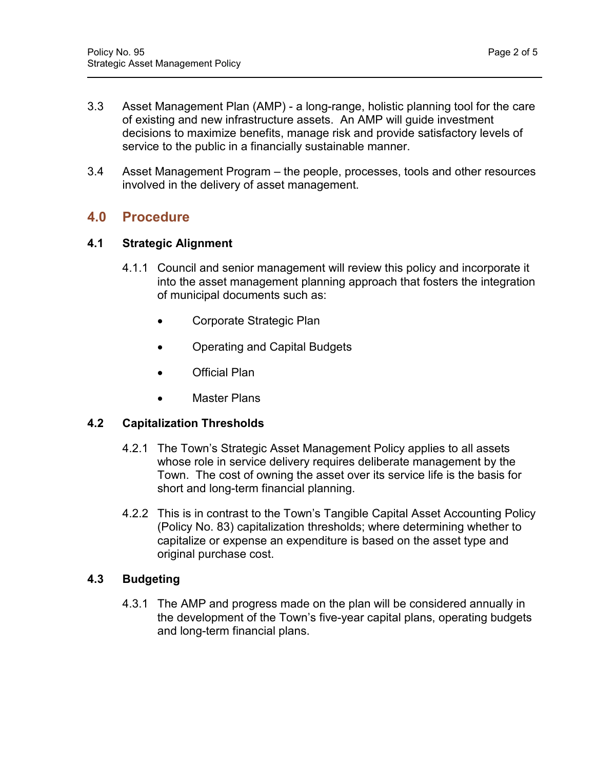- 3.3 Asset Management Plan (AMP) a long-range, holistic planning tool for the care of existing and new infrastructure assets. An AMP will guide investment decisions to maximize benefits, manage risk and provide satisfactory levels of service to the public in a financially sustainable manner.
- 3.4 Asset Management Program the people, processes, tools and other resources involved in the delivery of asset management.

# **4.0 Procedure**

#### **4.1 Strategic Alignment**

- 4.1.1 Council and senior management will review this policy and incorporate it into the asset management planning approach that fosters the integration of municipal documents such as:
	- Corporate Strategic Plan
	- Operating and Capital Budgets
	- Official Plan
	- Master Plans

#### **4.2 Capitalization Thresholds**

- 4.2.1 The Town's Strategic Asset Management Policy applies to all assets whose role in service delivery requires deliberate management by the Town. The cost of owning the asset over its service life is the basis for short and long-term financial planning.
- 4.2.2 This is in contrast to the Town's Tangible Capital Asset Accounting Policy (Policy No. 83) capitalization thresholds; where determining whether to capitalize or expense an expenditure is based on the asset type and original purchase cost.

#### **4.3 Budgeting**

4.3.1 The AMP and progress made on the plan will be considered annually in the development of the Town's five-year capital plans, operating budgets and long-term financial plans.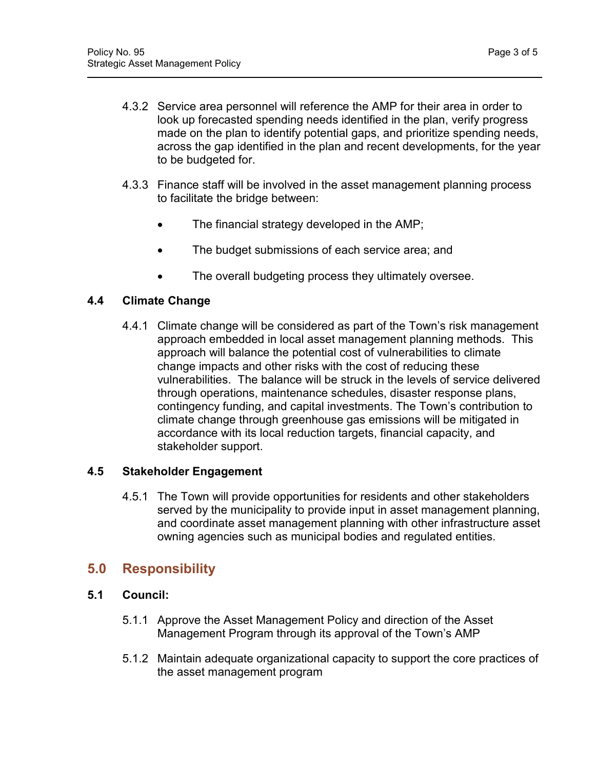- 4.3.2 Service area personnel will reference the AMP for their area in order to look up forecasted spending needs identified in the plan, verify progress made on the plan to identify potential gaps, and prioritize spending needs, across the gap identified in the plan and recent developments, for the year to be budgeted for.
- 4.3.3 Finance staff will be involved in the asset management planning process to facilitate the bridge between:
	- The financial strategy developed in the AMP;
	- The budget submissions of each service area; and
	- The overall budgeting process they ultimately oversee.

#### **4.4 Climate Change**

4.4.1 Climate change will be considered as part of the Town's risk management approach embedded in local asset management planning methods. This approach will balance the potential cost of vulnerabilities to climate change impacts and other risks with the cost of reducing these vulnerabilities. The balance will be struck in the levels of service delivered through operations, maintenance schedules, disaster response plans, contingency funding, and capital investments. The Town's contribution to climate change through greenhouse gas emissions will be mitigated in accordance with its local reduction targets, financial capacity, and stakeholder support.

#### **4.5 Stakeholder Engagement**

4.5.1 The Town will provide opportunities for residents and other stakeholders served by the municipality to provide input in asset management planning, and coordinate asset management planning with other infrastructure asset owning agencies such as municipal bodies and regulated entities.

# **5.0 Responsibility**

## **5.1 Council:**

- 5.1.1 Approve the Asset Management Policy and direction of the Asset Management Program through its approval of the Town's AMP
- 5.1.2 Maintain adequate organizational capacity to support the core practices of the asset management program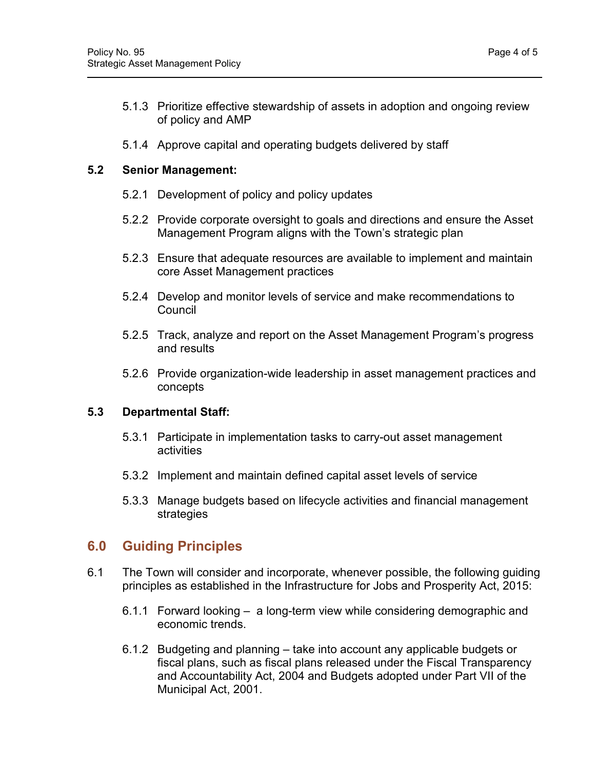5.1.4 Approve capital and operating budgets delivered by staff

#### **5.2 Senior Management:**

- 5.2.1 Development of policy and policy updates
- 5.2.2 Provide corporate oversight to goals and directions and ensure the Asset Management Program aligns with the Town's strategic plan
- 5.2.3 Ensure that adequate resources are available to implement and maintain core Asset Management practices
- 5.2.4 Develop and monitor levels of service and make recommendations to **Council**
- 5.2.5 Track, analyze and report on the Asset Management Program's progress and results
- 5.2.6 Provide organization-wide leadership in asset management practices and concepts

#### **5.3 Departmental Staff:**

- 5.3.1 Participate in implementation tasks to carry-out asset management activities
- 5.3.2 Implement and maintain defined capital asset levels of service
- 5.3.3 Manage budgets based on lifecycle activities and financial management strategies

# **6.0 Guiding Principles**

- 6.1 The Town will consider and incorporate, whenever possible, the following guiding principles as established in the Infrastructure for Jobs and Prosperity Act, 2015:
	- 6.1.1 Forward looking a long-term view while considering demographic and economic trends.
	- 6.1.2 Budgeting and planning take into account any applicable budgets or fiscal plans, such as fiscal plans released under the Fiscal Transparency and Accountability Act, 2004 and Budgets adopted under Part VII of the Municipal Act, 2001.